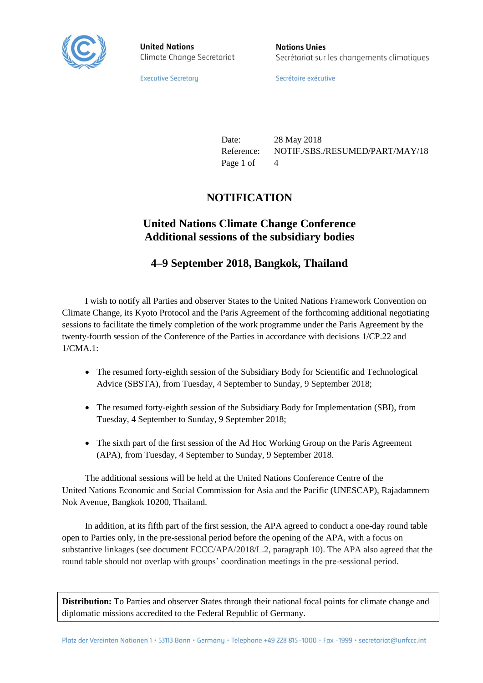

**United Nations** Climate Change Secretariat **Nations Unies** Secrétariat sur les changements climatiques

**Executive Secretary** 

Secrétaire exécutive

Date: 28 May 2018 Reference: NOTIF./SBS./RESUMED/PART/MAY/18 Page 1 of 4

### **NOTIFICATION**

## **United Nations Climate Change Conference Additional sessions of the subsidiary bodies**

#### **4–9 September 2018, Bangkok, Thailand**

I wish to notify all Parties and observer States to the United Nations Framework Convention on Climate Change, its Kyoto Protocol and the Paris Agreement of the forthcoming additional negotiating sessions to facilitate the timely completion of the work programme under the Paris Agreement by the twenty-fourth session of the Conference of the Parties in accordance with decisions 1/CP.22 and 1/CMA.1:

- The resumed forty-eighth session of the Subsidiary Body for Scientific and Technological Advice (SBSTA), from Tuesday, 4 September to Sunday, 9 September 2018;
- The resumed forty-eighth session of the Subsidiary Body for Implementation (SBI), from Tuesday, 4 September to Sunday, 9 September 2018;
- The sixth part of the first session of the Ad Hoc Working Group on the Paris Agreement (APA), from Tuesday, 4 September to Sunday, 9 September 2018.

The additional sessions will be held at the United Nations Conference Centre of the United Nations Economic and Social Commission for Asia and the Pacific (UNESCAP), Rajadamnern Nok Avenue, Bangkok 10200, Thailand.

In addition, at its fifth part of the first session, the APA agreed to conduct a one-day round table open to Parties only, in the pre-sessional period before the opening of the APA, with a focus on substantive linkages (see document FCCC/APA/2018/L.2, paragraph 10). The APA also agreed that the round table should not overlap with groups' coordination meetings in the pre-sessional period.

**Distribution:** To Parties and observer States through their national focal points for climate change and diplomatic missions accredited to the Federal Republic of Germany.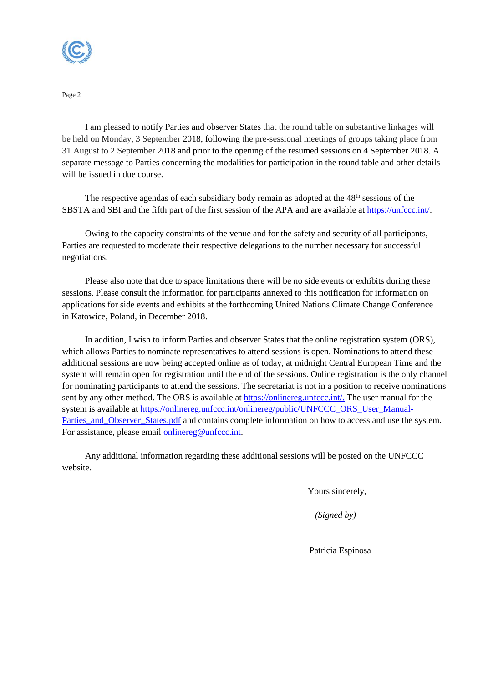

Page 2

I am pleased to notify Parties and observer States that the round table on substantive linkages will be held on Monday, 3 September 2018, following the pre-sessional meetings of groups taking place from 31 August to 2 September 2018 and prior to the opening of the resumed sessions on 4 September 2018. A separate message to Parties concerning the modalities for participation in the round table and other details will be issued in due course.

The respective agendas of each subsidiary body remain as adopted at the  $48<sup>th</sup>$  sessions of the SBSTA and SBI and the fifth part of the first session of the APA and are available at [https://unfccc.int/.](https://unfccc.int/)

Owing to the capacity constraints of the venue and for the safety and security of all participants, Parties are requested to moderate their respective delegations to the number necessary for successful negotiations.

Please also note that due to space limitations there will be no side events or exhibits during these sessions. Please consult the information for participants annexed to this notification for information on applications for side events and exhibits at the forthcoming United Nations Climate Change Conference in Katowice, Poland, in December 2018.

In addition, I wish to inform Parties and observer States that the online registration system (ORS), which allows Parties to nominate representatives to attend sessions is open. Nominations to attend these additional sessions are now being accepted online as of today, at midnight Central European Time and the system will remain open for registration until the end of the sessions. Online registration is the only channel for nominating participants to attend the sessions. The secretariat is not in a position to receive nominations sent by any other method. The ORS is available at [https://onlinereg.unfccc.int/.](https://onlinereg.unfccc.int/) The user manual for the system is available at [https://onlinereg.unfccc.int/onlinereg/public/UNFCCC\\_ORS\\_User\\_Manual-](https://onlinereg.unfccc.int/onlinereg/public/UNFCCC_ORS_User_Manual-Parties_and_Observer_States.pdf)[Parties\\_and\\_Observer\\_States.pdf](https://onlinereg.unfccc.int/onlinereg/public/UNFCCC_ORS_User_Manual-Parties_and_Observer_States.pdf) and contains complete information on how to access and use the system. For assistance, please email [onlinereg@unfccc.int.](mailto:onlinereg@unfccc.int)

Any additional information regarding these additional sessions will be posted on the UNFCCC website.

Yours sincerely,

*(Signed by)*

Patricia Espinosa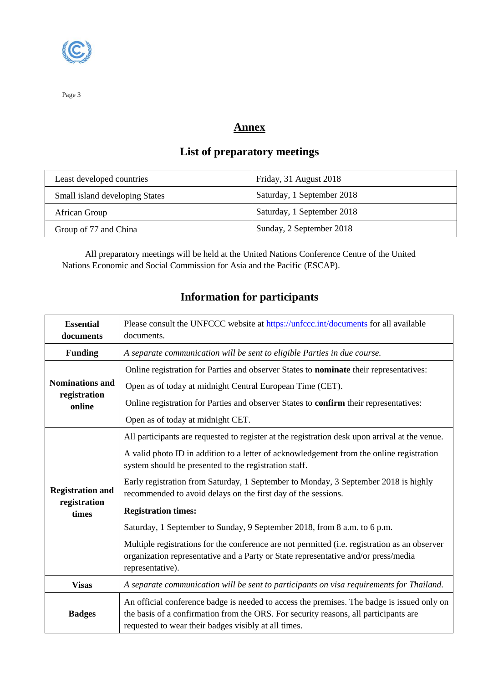

## **Annex**

# **List of preparatory meetings**

| Least developed countries      | Friday, 31 August 2018     |
|--------------------------------|----------------------------|
| Small island developing States | Saturday, 1 September 2018 |
| African Group                  | Saturday, 1 September 2018 |
| Group of 77 and China          | Sunday, 2 September 2018   |

All preparatory meetings will be held at the United Nations Conference Centre of the United Nations Economic and Social Commission for Asia and the Pacific (ESCAP).

# **Information for participants**

| <b>Essential</b>                                 | Please consult the UNFCCC website at https://unfccc.int/documents for all available                                                                                                                                                                                               |
|--------------------------------------------------|-----------------------------------------------------------------------------------------------------------------------------------------------------------------------------------------------------------------------------------------------------------------------------------|
| documents                                        | documents.                                                                                                                                                                                                                                                                        |
| <b>Funding</b>                                   | A separate communication will be sent to eligible Parties in due course.                                                                                                                                                                                                          |
| <b>Nominations and</b><br>registration<br>online | Online registration for Parties and observer States to nominate their representatives:<br>Open as of today at midnight Central European Time (CET).<br>Online registration for Parties and observer States to confirm their representatives:<br>Open as of today at midnight CET. |
| <b>Registration and</b><br>registration<br>times | All participants are requested to register at the registration desk upon arrival at the venue.<br>A valid photo ID in addition to a letter of acknowledgement from the online registration<br>system should be presented to the registration staff.                               |
|                                                  | Early registration from Saturday, 1 September to Monday, 3 September 2018 is highly<br>recommended to avoid delays on the first day of the sessions.<br><b>Registration times:</b>                                                                                                |
|                                                  | Saturday, 1 September to Sunday, 9 September 2018, from 8 a.m. to 6 p.m.                                                                                                                                                                                                          |
|                                                  | Multiple registrations for the conference are not permitted (i.e. registration as an observer<br>organization representative and a Party or State representative and/or press/media<br>representative).                                                                           |
| <b>Visas</b>                                     | A separate communication will be sent to participants on visa requirements for Thailand.                                                                                                                                                                                          |
| <b>Badges</b>                                    | An official conference badge is needed to access the premises. The badge is issued only on<br>the basis of a confirmation from the ORS. For security reasons, all participants are<br>requested to wear their badges visibly at all times.                                        |